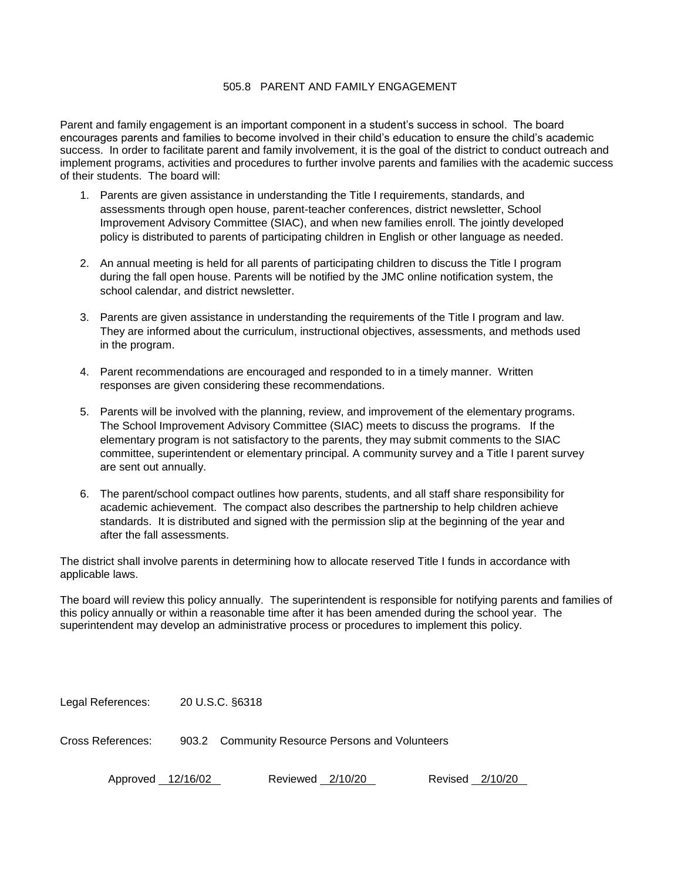## 505.8 PARENT AND FAMILY ENGAGEMENT

Parent and family engagement is an important component in a student's success in school. The board encourages parents and families to become involved in their child's education to ensure the child's academic success. In order to facilitate parent and family involvement, it is the goal of the district to conduct outreach and implement programs, activities and procedures to further involve parents and families with the academic success of their students. The board will:

- 1. Parents are given assistance in understanding the Title I requirements, standards, and assessments through open house, parent-teacher conferences, district newsletter, School Improvement Advisory Committee (SIAC), and when new families enroll. The jointly developed policy is distributed to parents of participating children in English or other language as needed.
- 2. An annual meeting is held for all parents of participating children to discuss the Title I program during the fall open house. Parents will be notified by the JMC online notification system, the school calendar, and district newsletter.
- 3. Parents are given assistance in understanding the requirements of the Title I program and law. They are informed about the curriculum, instructional objectives, assessments, and methods used in the program.
- 4. Parent recommendations are encouraged and responded to in a timely manner. Written responses are given considering these recommendations.
- 5. Parents will be involved with the planning, review, and improvement of the elementary programs. The School Improvement Advisory Committee (SIAC) meets to discuss the programs. If the elementary program is not satisfactory to the parents, they may submit comments to the SIAC committee, superintendent or elementary principal. A community survey and a Title I parent survey are sent out annually.
- 6. The parent/school compact outlines how parents, students, and all staff share responsibility for academic achievement. The compact also describes the partnership to help children achieve standards. It is distributed and signed with the permission slip at the beginning of the year and after the fall assessments.

The district shall involve parents in determining how to allocate reserved Title I funds in accordance with applicable laws.

The board will review this policy annually. The superintendent is responsible for notifying parents and families of this policy annually or within a reasonable time after it has been amended during the school year. The superintendent may develop an administrative process or procedures to implement this policy.

Legal References: 20 U.S.C. §6318

Cross References: 903.2 Community Resource Persons and Volunteers

Approved 12/16/02 Reviewed 2/10/20 Revised 2/10/20